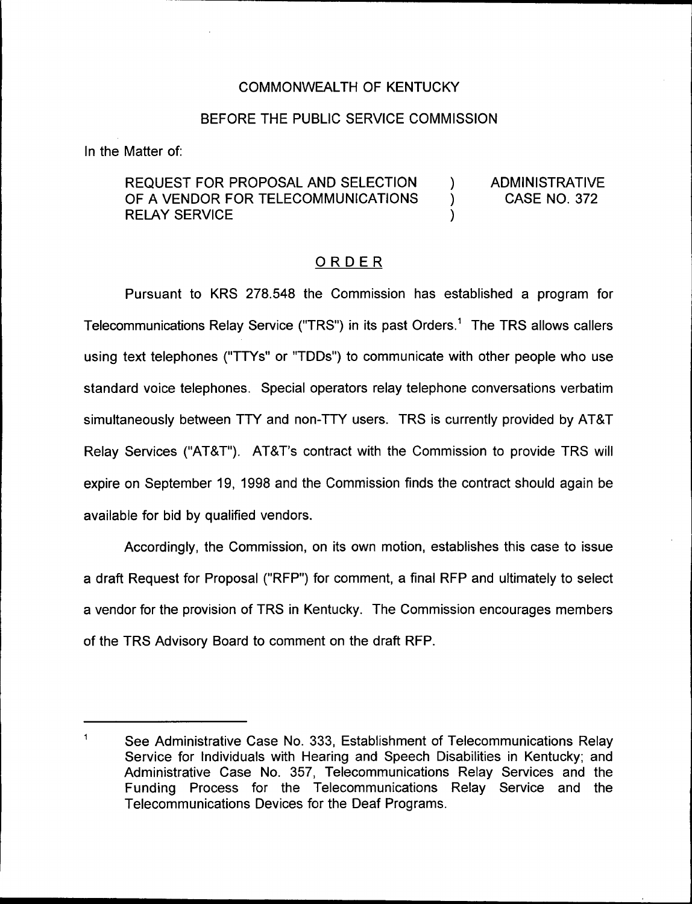### COMMONN/EALTH OF KENTUCKY

#### BEFORE THE PUBLIC SERVICE COMMISSION

In the Matter of:

## REQUEST FOR PROPOSAL AND SELECTION (1)<br>OF A VENDOR FOR TELECOMMUNICATIONS OF A VENDOR FOR TELECOMMUNICATIONS **RELAY SERVICE**

ADMINISTRATIVE CASE NO. 372

#### ORDER

Pursuant to KRS 278.548 the Commission has established a program for Telecommunications Relay Service ("TRS") in its past Orders.<sup>1</sup> The TRS allows callers using text telephones ("TTYs" or "TDDs") to communicate with other people who use standard voice telephones. Special operators relay telephone conversations verbatim simultaneously between TTY and non-TTY users. TRS is currently provided by AT&T Relay Services ("AT&T"). AT&T's contract with the Commission to provide TRS will expire on September 19, 1998 and the Commission finds the contract should again be available for bid by qualified vendors.

Accordingly, the Commission, on its own motion, establishes this case to issue a draft Request for Proposal ("RFP") for comment, a final RFP and ultimately to select a vendor for the provision of TRS in Kentucky. The Commission encourages members of the TRS Advisory Board to comment on the draft RFP.

 $\ddagger$ See Administrative Case No. 333, Establishment of Telecommunications Relay Service for Individuals with Hearing and Speech Disabilities in Kentucky; and Administrative Case No. 357, Telecommunications Relay Services and the Funding Process for the Telecommunications Relay Service and the Telecommunications Devices for the Deaf Programs.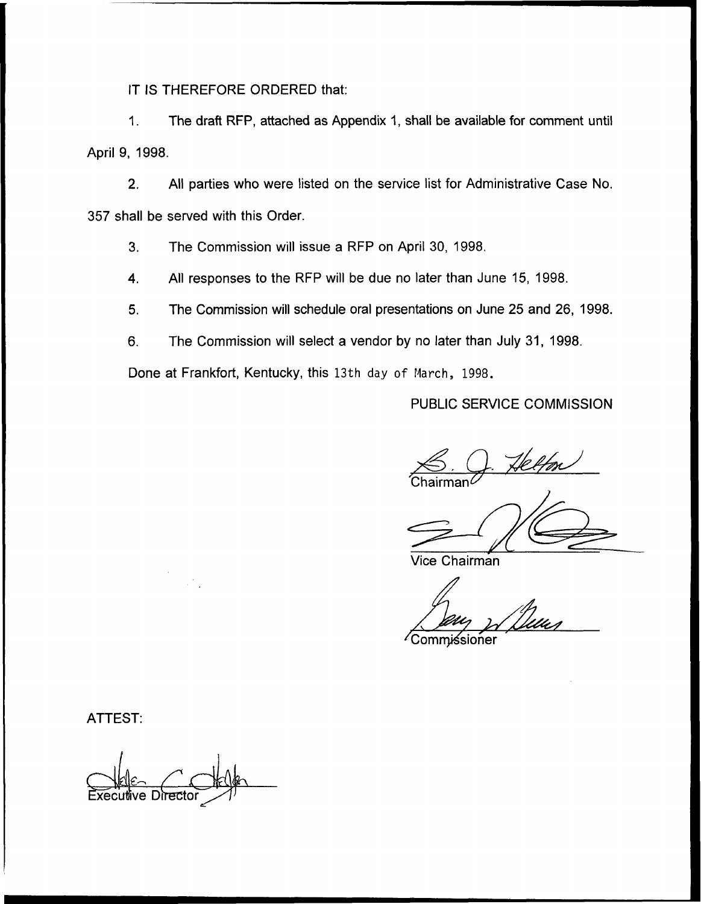IT IS THEREFORE ORDERED that:

The draft RFP, attached as Appendix 1, shall be available for comment until  $1.$ April 9, 1998.

2. All parties who were listed on the service list for Administrative Case No. 357 shall be served with this Order.

3. The Commission will issue a RFP on April 30, 1998.

4. All responses to the RFP will be due no later than June 15, 1998.

5. The Commission will schedule oral presentations on June 25 and 26, 1998.

6. The Commission will select a vendor by no later than July 31, 1998.

Done at Frankfort, Kentucky, this 13th day of March, 1998.

PUBLIC SERVICE COMMlSSION

 ${\sf Chairman}^{\ell}$ <u>S. Q. Helfon</u>

Vice Chairman

 $^\prime$ Commissioner

ATTEST:

Exec'uttve Dotter~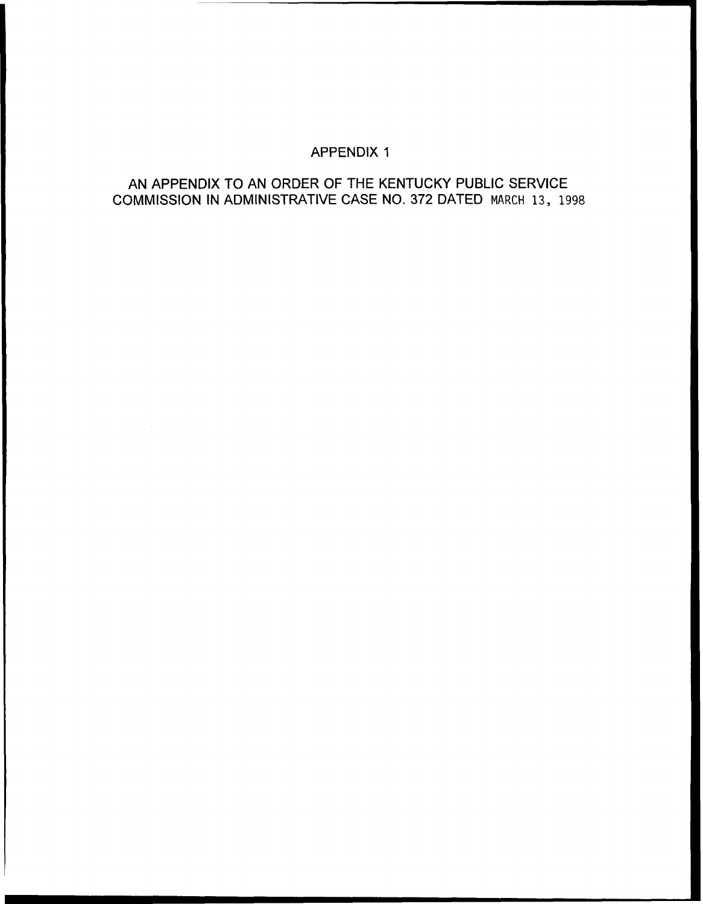# APPENDIX 1

## AN APPENDIX TO AN ORDER OF THE KENTUCKY PUBLIC SERVICE COMMISSION IN ADMINISTRATIVE CASE NO. 372 DATED MARCH 13, 1998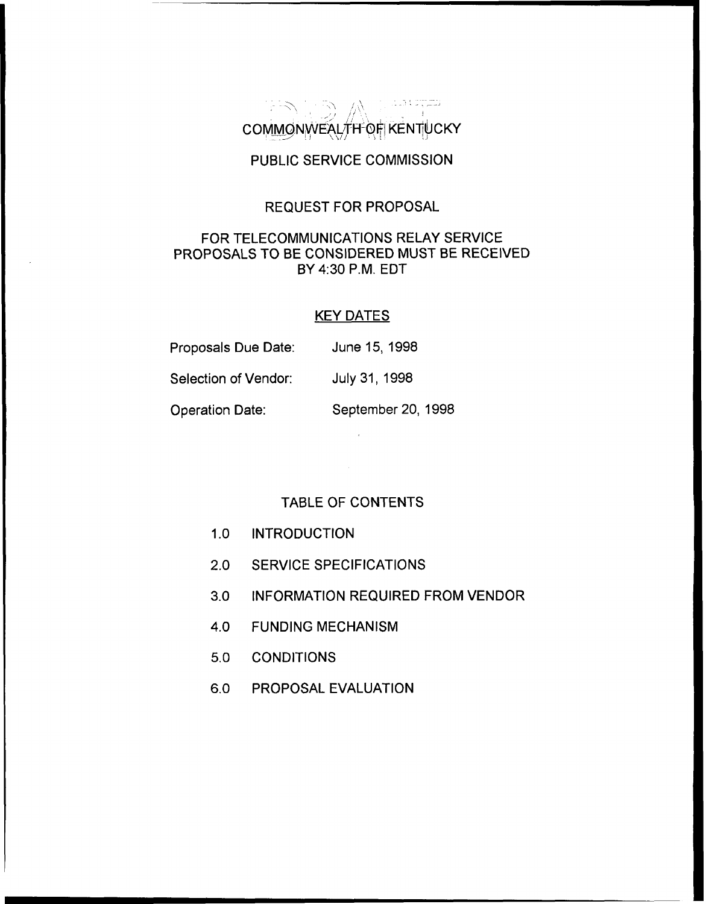فتترجت وماما  $\mathbb{P}\mathscr{D} \subset \mathbb{P}$  . We COMMONWEALTH-OF KENTIUCKY

# PUBLIC SERVICE COMMISSION

#### REQUEST FOR PROPOSAL

## FOR TELECOMMUNICATIONS RELAY SERVICE PROPOSALS TO BE CONSIDERED MUST BE RECEIVED BY 4:30 P.M. EDT

## KEY DATES

| Proposals Due Date:  | June 15, 1998      |
|----------------------|--------------------|
| Selection of Vendor: | July 31, 1998      |
| Operation Date:      | September 20, 1998 |

#### TABLE OF CONTENTS

- 1.0 INTRODUCTION
- 2.0 SERVICE SPECIFICATIONS
- 3.0 INFORMATION REQUIRED FROM VENDOR
- 4.0 FUNDING MECHANISM
- 5.0 CONDITIONS
- 6.0 PROPOSAL EVALUATION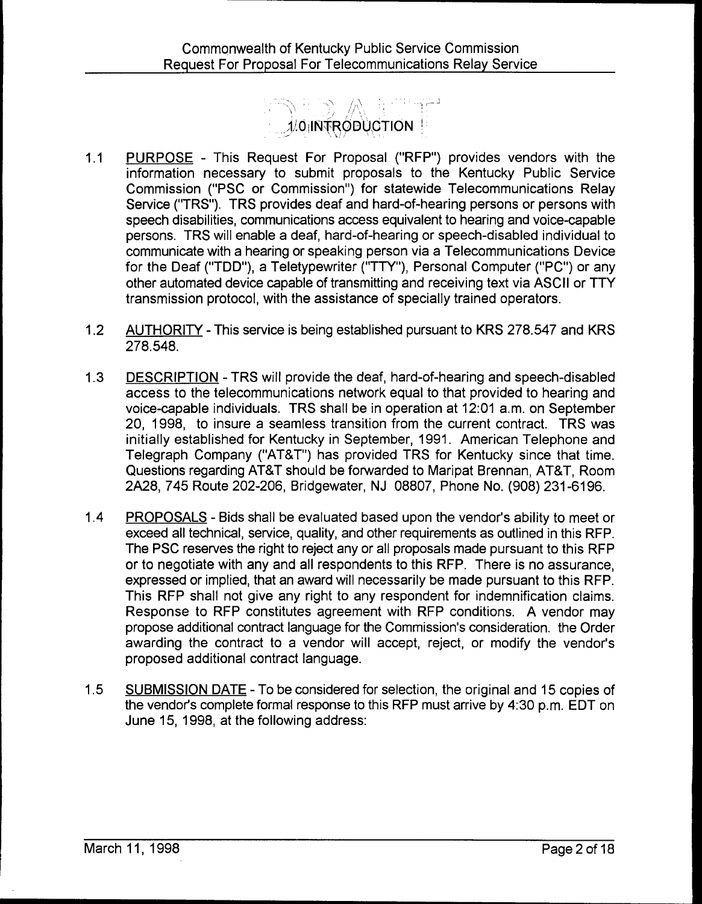# **OINTRODUCTION**

- PURPOSE This Request For Proposal ("RFP") provides vendors with the  $1.1$ information necessary to submit proposals to the Kentucky Public Service Commission ("PSC or Commission") for statewide Telecommunications Relay Service ("TRS"). TRS provides deaf and hard-of-hearing persons or persons with speech disabilities, communications access equivalent to hearing and voice-capable persons. TRS will enable a deaf, hard-of-hearing or speech-disabled individual to communicate with a hearing or speaking person via a Telecommunications Device for the Deaf ("TDD"), a Teletypewriter ("TTY"), Personal Computer ("PC") or any other automated device capable of transmitting and receiving text via ASCII or TTY transmission protocol, with the assistance of specially trained operators.
- $1.2$ AUTHORITY - This service is being established pursuant to KRS 278.547 and KRS 278.548.
- DESCRIPTION TRS will provide the deaf, hard-of-hearing and speech-disabled  $1.3$ access to the telecommunications network equal to that provided to hearing and voice-capable individuals. TRS shall be in operation at 12:01 a.m. on September 20, 1998, to insure a seamless transition from the current contract. TRS was initially established for Kentucky in September, 1991. American Telephone and Telegraph Company ("AT8T") has provided TRS for Kentucky since that time. Questions regarding AT8T should be forwarded to Maripat Brennan, AT8T, Room 2A28, 745 Route 202-206, Bridgewater, NJ 0880?, Phone No. (908) 231-6196.
- 1.4 PROPOSALS Bids shall be evaluated based upon the vendor's ability to meet or exceed all technical, service, quality, and other requirements as outlined in this RFP. The PSC reserves the right to reject any or all proposals made pursuant to this RFP or to negotiate with any and all respondents to this RFP. There is no assurance, expressed or implied, that an award will necessarily be made pursuant to this RFP. This RFP shall not give any right to any respondent for indemnification claims. Response to RFP constitutes agreement with RFP conditions. A vendor may propose additional contract language for the Commission's consideration. the Order awarding the contract to a vendor will accept, reject, or modify the vendor's proposed additional contract language.
- 1.5 SUBMISSION DATE To be considered for selection, the original and 15 copies of the vendor's complete formal response to this RFP must arrive by 4:30 p.m. EDT on June 15, 1998, at the following address: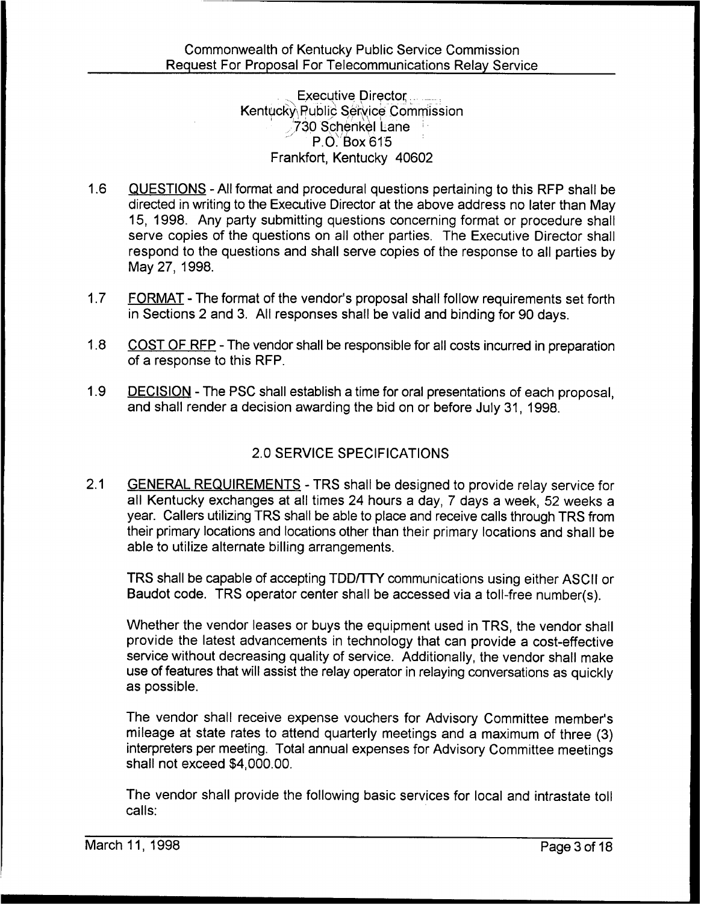Executive Director Kentucky Public Service Commission .,730 Schenkel Lane P.O: Box 615 Frankfort, Kentucky 40602

- 1.6 QUESTIONS All format and procedural questions pertaining to this RFP shall be directed in writing to the Executive Director at the above address no later than May 15, 1998. Any party submitting questions concerning format or procedure shall serve copies of the questions on all other parties. The Executive Director shall respond to the questions and shall serve copies of the response to all parties by May 27, 1998.
- 1.7 FORMAT The format of the vendor's proposal shall follow requirements set forth in Sections 2 and 3. All responses shall be valid and binding for 90 days.
- 1.8 COST OF RFP The vendor shall be responsible for all costs incurred in preparation of a response to this RFP.
- 1.9 DECISION The PSC shall establish a time for oral presentations of each proposal, and shall render a decision awarding the bid on or before July 31, 1998.

# 2.0 SERVICE SPECIFICATIONS

2.1 GENERAL REQUIREMENTS - TRS shall be designed to provide relay service for all Kentucky exchanges at all times 24 hours a day, 7 days a week, 52 weeks a year. Callers utilizing TRS shall be able to place and receive calls through TRS from their primary locations and locations other than their primary locations and shall be able to utilize alternate billing arrangements.

TRS shall be capable of accepting TDD/TTY communications using either ASCII or Baudot code. TRS operator center shall be accessed via a toll-free number(s),

Whether the vendor leases or buys the equipment used in TRS, the vendor shall provide the latest advancements in technology that can provide a cost-effective service without decreasing quality of service. Additionally, the vendor shall make use of features that will assist the relay operator in relaying conversations as quickly as possible.

The vendor shall receive expense vouchers for Advisory Committee member's mileage at state rates to attend quarterly meetings and a maximum of three (3) interpreters per meeting. Total annual expenses for Advisory Committee meetings shall not exceed \$4,000.00.

The vendor shall provide the following basic services for local and intrastate toll calls: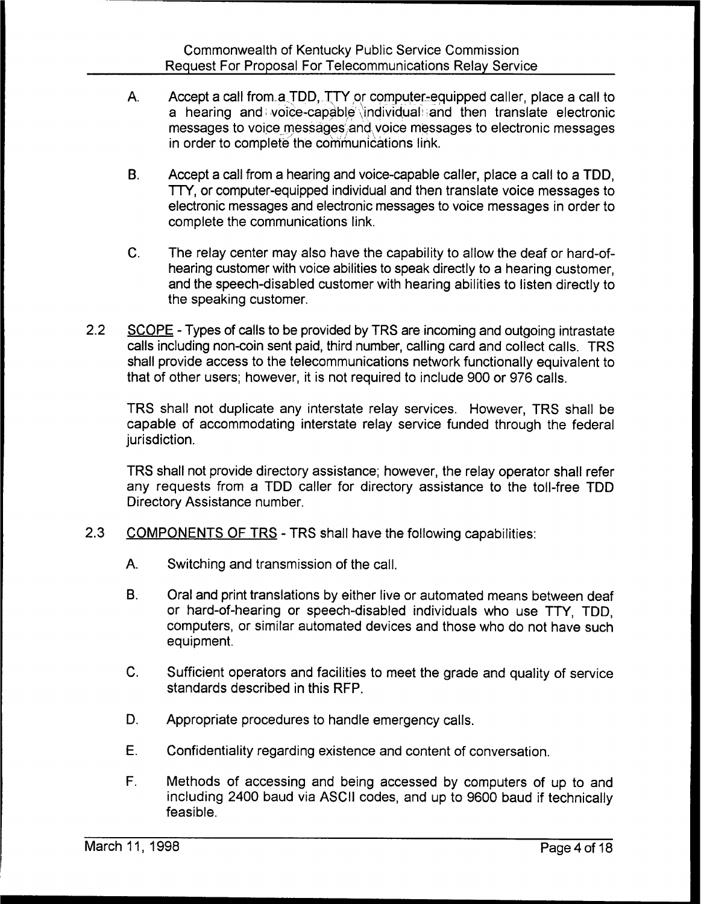- $\mathbf{A}$ Accept a call from a TDD, TTY or computer-equipped caller, place a call to a hearing and voice-capable individual and then translate electronic messages to voice messages and voice messages to electronic messages in order to complete the communications link.
- B. Accept a call from a hearing and voice-capable caller, place a call to a TDD, TTY, or computer-equipped individual and then translate voice messages to electronic messages and electronic messages to voice messages in order to complete the communications link.
- C. The relay center may also have the capability to allow the deaf or hard-ofhearing customer with voice abilities to speak directly to a hearing customer, and the speech-disabled customer with hearing abilities to listen directly to the speaking customer.
- 2.2 SCOPE Types of calls to be provided by TRS are incoming and outgoing intrastate calls including non-coin sent paid, third number, calling card and collect calls. TRS shall provide access to the telecommunications network functionally equivalent to that of other users; however, it is not required to include 900 or 976 calls.

TRS shall not duplicate any interstate relay services. However, TRS shall be capable of accommodating interstate relay service funded through the federal jurisdiction.

TRS shall not provide directory assistance; however, the relay operator shall refer any requests from a TDD caller for directory assistance to the toll-free TDD Directory Assistance number.

- 2.3 COMPONENTS OF TRS TRS shall have the following capabilities:
	- A. Switching and transmission of the call.
	- $B<sub>1</sub>$ Oral and print translations by either live or automated means between deaf or hard-of-hearing or speech-disabled individuals who use TTY, TDD, computers, or similar automated devices and those who do not have such equipment.
	- C. Sufficient operators and facilities to meet the grade and quality of service standards described in this RFP.
	- D. Appropriate procedures to handle emergency calls.
	- E. Confidentiality regarding existence and content of conversation,
	- F. Methods of accessing and being accessed by computers of up to and including 2400 baud via ASCII codes, and up to 9600 baud if technically feasible.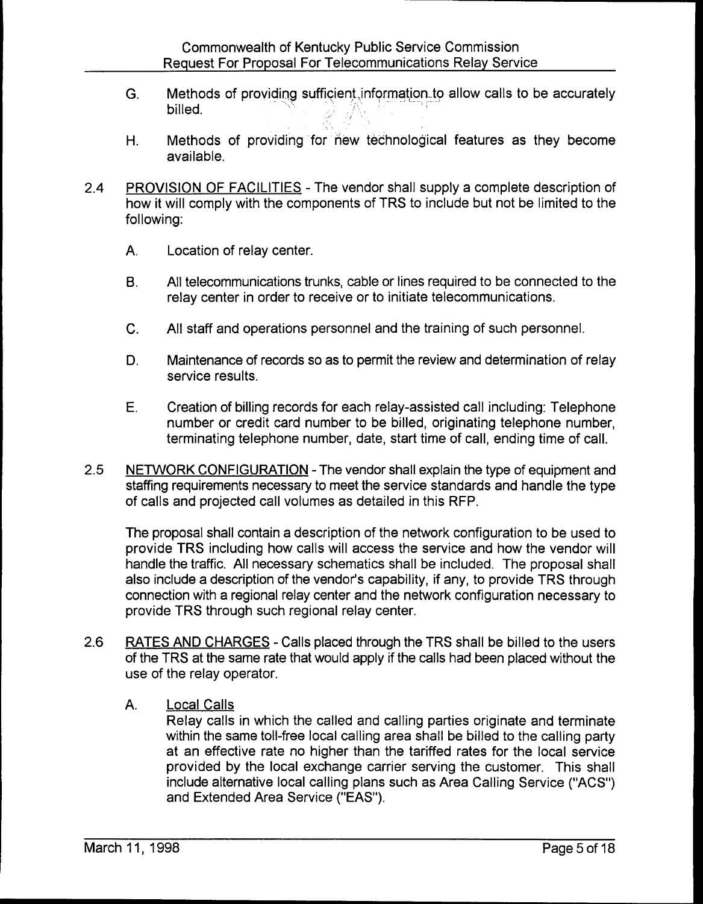- G. Methods of providing sufficient, information to allow calls to be accurately billed.
- H. Methods of providing for new technological features as they become available.
- 2.4 PROVISION OF FACILITIES The vendor shall supply a complete description of how it will comply with the components of TRS to include but not be limited to the following:
	- A. Location of relay center.
	- B. All telecommunications trunks, cable or lines required to be connected to the relay center in order to receive or to initiate telecommunications.
	- C. All staff and operations personnel and the training of such personnel.
	- D. Maintenance of records so as to permit the review and determination of relay service results.
	- E. Creation of billing records for each relay-assisted call including: Telephone number or credit card number to be billed, originating telephone number, terminating telephone number, date, start time of call, ending time of call.
- 2.5 NETWORK CONFIGURATION The vendor shall explain the type of equipment and staffing requirements necessary to meet the service standards and handle the type of calls and projected call volumes as detailed in this RFP.

The proposal shall contain a description of the network configuration to be used to provide TRS including how calls will access the service and how the vendor will handle the traffic. All necessary schematics shall be included. The proposal shall also include a description of the vendor's capability, if any, to provide TRS through connection with a regional relay center and the network configuration necessary to provide TRS through such regional relay center.

- 2.6 RATES AND CHARGES Calls placed through the TRS shall be billed to the users of the TRS at the same rate that would apply if the calls had been placed without the use of the relay operator.
	- A. Local Calls

Relay calls in which the called and calling parties originate and terminate within the same toll-free local calling area shall be billed to the calling party at an effective rate no higher than the tariffed rates for the local service provided by the local exchange carrier serving the customer. This shall include alternative local calling plans such as Area Calling Service ("ACS") and Extended Area Service ("EAS").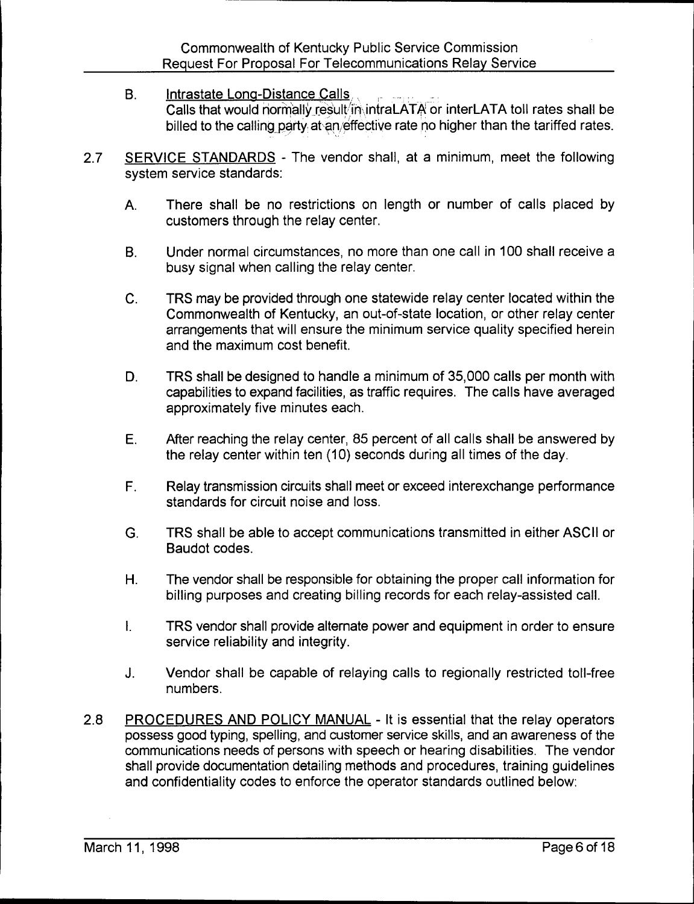- B. Intrastate Long-Distance Calls, Calls that would normally result in intraLATA or interLATA toll rates shall be billed to the calling party at an/effective rate no higher than the tariffed rates.
- 2.7 SERVICE STANDARDS The vendor shall, at a minimum, meet the following system service standards:
	- A. There shall be no restrictions on length or number of calls placed by customers through the relay center.
	- B. Under normal circumstances, no more than one call in 100 shall receive a busy signal when calling the relay center.
	- C. TRS may be provided through one statewide relay center located within the Commonwealth of Kentucky, an out-of-state location, or other relay center arrangements that will ensure the minimum service quality specified herein and the maximum cost benefit.
	- D. TRS shall be designed to handle a minimum of 35,000 calls per month with capabilities to expand facilities, as traffic requires. The calls have averaged approximately five minutes each.
	- E. After reaching the relay center, 85 percent of all calls shall be answered by the relay center within ten (10) seconds during all times of the day.
	- F. Relay transmission circuits shall meet or exceed interexchange performance standards for circuit noise and loss.
	- G. TRS shall be able to accept communications transmitted in either ASCII or Baudot codes,
	- H. The vendor shall be responsible for obtaining the proper call information for billing purposes and creating billing records for each relay-assisted call.
	- $\mathbf{L}$ TRS vendor shall provide alternate power and equipment in order to ensure service reliability and integrity.
	- J. Vendor shall be capable of relaying calls to regionally restricted toll-free numbers.
- 2.8 PROCEDURES AND POLICY MANUAL It is essential that the relay operators possess good typing, spelling, and customer service skills, and an awareness of the communications needs of persons with speech or hearing disabilities. The vendor shall provide documentation detailing methods and procedures, training guidelines and confidentiality codes to enforce the operator standards outlined below: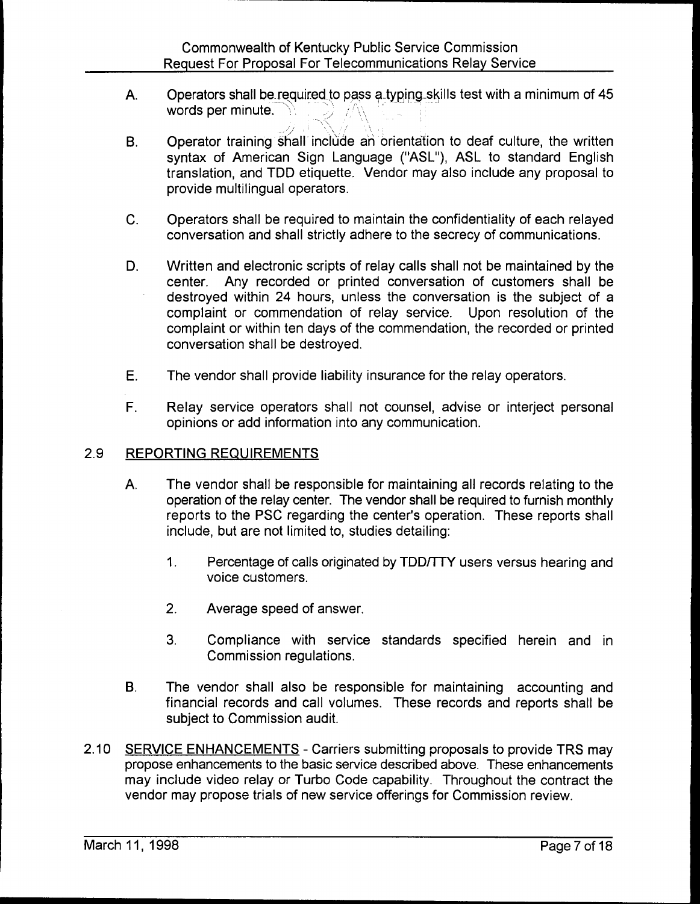- A. Operators shall be required to pass a typing skills test with a minimum of 45 words per minute.
- Operator training shall include an orientation to deaf culture, the written  $B<sub>1</sub>$ syntax of American Sign Language ("ASL"), ASL to standard English translation, and TDD etiquette. Vendor may also include any proposal to provide multilingual operators.
- C. Operators shall be required to maintain the confidentiality of each relayed conversation and shall strictly adhere to the secrecy of communications.
- D. Written and electronic scripts of relay calls shall not be maintained by the center. Any recorded or printed conversation of customers shall be destroyed within 24 hours, unless the conversation is the subject of a complaint or commendation of relay service. Upon resolution of the complaint or within ten days of the commendation, the recorded or printed conversation shall be destroyed.
- E. The vendor shall provide liability insurance for the relay operators.
- F. Relay service operators shall not counsel, advise or interject personal opinions or add information into any communication.

## 2.9 REPORTING REQUIREMENTS

- A. The vendor shall be responsible for maintaining all records relating to the operation of the relay center. The vendor shall be required to furnish monthly reports to the PSC regarding the center's operation. These reports shall include, but are not limited to, studies detailing:
	- $1<sub>1</sub>$ Percentage of calls originated by TDD/TTY users versus hearing and voice customers.
	- 2. Average speed of answer.
	- 3. Compliance with service standards specified herein and in Commission regulations.
- B. The vendor shall also be responsible for maintaining accounting and financial records and call volumes. These records and reports shall be subject to Commission audit.
- 2.10 SERVICE ENHANCEMENTS Carriers submitting proposals to provide TRS may propose enhancements to the basic service described above. These enhancements may include video relay or Turbo Code capability. Throughout the contract the vendor may propose trials of new service offerings for Commission review.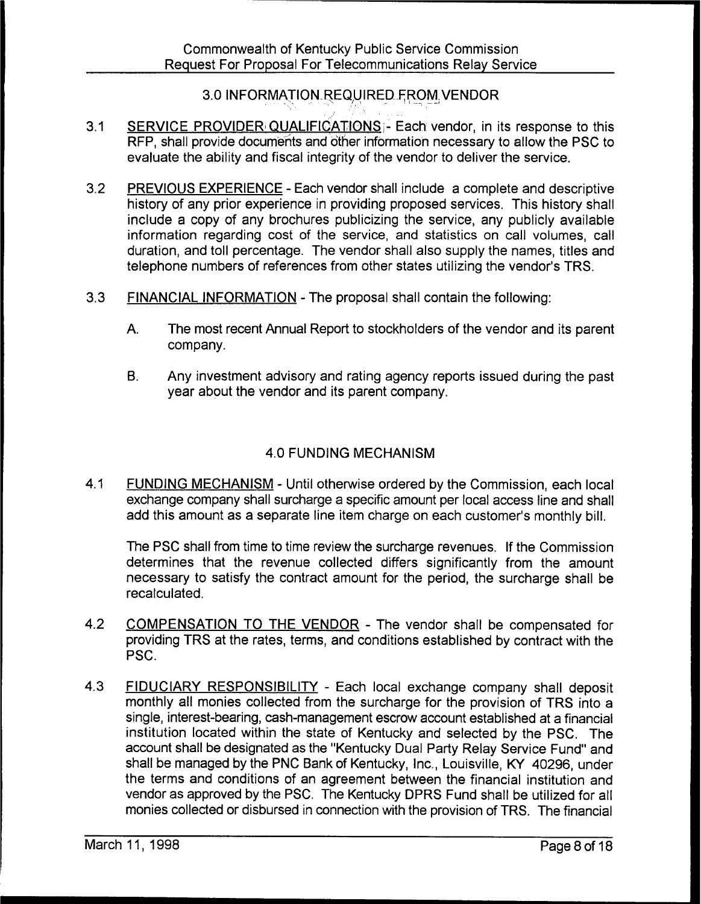## 3.0 INFORMATION REQUIRED FROM. VENDOR

- $3.1$ SERVICE PROVIDER QUALIFICATIONS: Each vendor, in its response to this RFP, shall provide documents and other information necessary to allow the PSC to evaluate the ability and fiscal integrity of the vendor to deliver the service.
- 3.2 PREVIOUS EXPERIENCE Each vendor shall include a complete and descriptive history of any prior experience in providing proposed services. This history shall include a copy of any brochures publicizing the service, any publicly available information regarding cost of the service, and statistics on call volumes, call duration, and toll percentage. The vendor shall also supply the names, titles and telephone numbers of references from other states utilizing the vendor's TRS.
- $3.3$ FINANCIAL INFORMATION - The proposal shall contain the following:
	- A. The most recent Annual Report to stockholders of the vendor and its parent company.
	- B. Any investment advisory and rating agency reports issued during the past year about the vendor and its parent company.

## 4.0 FUNDING MECHANISM

4.1 FUNDING MECHANISM - Until otherwise ordered by the Commission, each local exchange company shall surcharge a specific amount per local access line and shall add this amount as a separate line item charge on each customer's monthly bill.

The PSC shall from time to time review the surcharge revenues. If the Commission determines that the revenue collected differs significantly from the amount necessary to satisfy the contract amount for the period, the surcharge shall be recalculated.

- 4.2 COMPENSATION TO THE VENDOR The vendor shall be compensated for providing TRS at the rates, terms, and conditions established by contract with the PSC.
- 4,3 FIDUCIARY RESPONSIBILITY Each local exchange company shall deposit monthly all monies collected from the surcharge for the provision of TRS into a single, interest-bearing, cash-management escrow account established at a financial institution located within the state of Kentucky and selected by the PSC. The account shall be designated as the "Kentucky Dual Party Relay Service Fund" and shall be managed by the PNC Bank of Kentucky, Inc., Louisville, KY 40296, under the terms and conditions of an agreement between the financial institution and vendor as approved by the PSC. The Kentucky DPRS Fund shall be utilized for all monies collected or disbursed in connection with the provision of TRS. The financial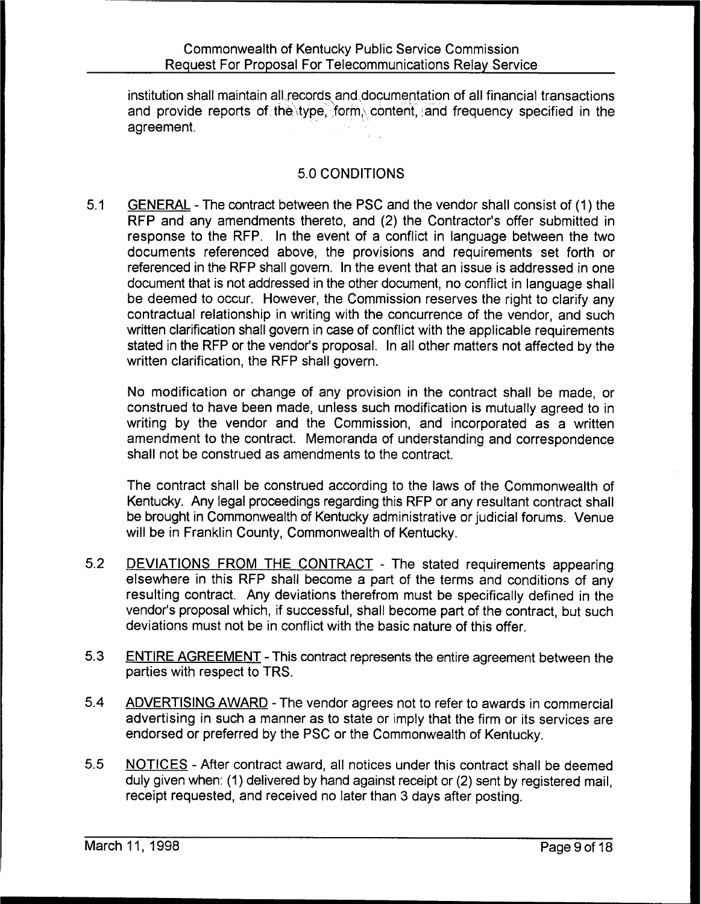institution shall maintain all records and,documentation of all financial transactions and provide reports of the type, form, content, and frequency specified in the agreement.

## 5.0 CONDITIONS

5.1 GENERAL - The contract between the PSC and the vendor shall consist of (1) the RFP and any amendments thereto, and (2) the Contractor's offer submitted in response to the RFP. In the event of a conflict in language between the two documents referenced above, the provisions and requirements set forth or referenced in the RFP shall govern. In the event that an issue is addressed in one document that is not addressed in the other document, no conflict in language shall be deemed to occur. However, the Commission reserves the right to clarify any contractual relationship in writing with the concurrence of the vendor, and such written clarification shall govern in case of conflict with the applicable requirements stated in the RFP or the vendor's proposal. In all other matters not affected by the written clarification, the RFP shall govern.

No modification or change of any provision in the contract shall be made, or construed to have been made, unless such modification is mutually agreed to in writing by the vendor and the Commission, and incorporated as a written amendment to the contract. Memoranda of understanding and correspondence shall not be construed as amendments to the contract.

The contract shall be construed according to the laws of the Commonwealth of Kentucky. Any legal proceedings regarding this RFP or any resultant contract shall be brought in Commonwealth of Kentucky administrative or judicial forums. Venue will be in Franklin County, Commonwealth of Kentucky.

- 5.2 DEVIATIONS FROM THE CONTRACT The stated requirements appearing elsewhere in this RFP shall become a part of the terms and conditions of any resulting contract. Any deviations therefrom must be specifically defined in the vendor's proposal which, if successful, shall become part of the contract, but such deviations must not be in conflict with the basic nature of this offer.
- 5.3 ENTIRE AGREEMENT This contract represents the entire agreement between the parties with respect to TRS.
- 5.4 ADVERTISING AWARD The vendor agrees not to refer to awards in commercial advertising in such a manner as to state or imply that the firm or its services are endorsed or preferred by the PSC or the Commonwealth of Kentucky.
- $5.5$ NOTICES - After contract award, all notices under this contract shall be deemed duly given when: (1) delivered by hand against receipt or (2) sent by registered mail, receipt requested, and received no later than 3 days after posting.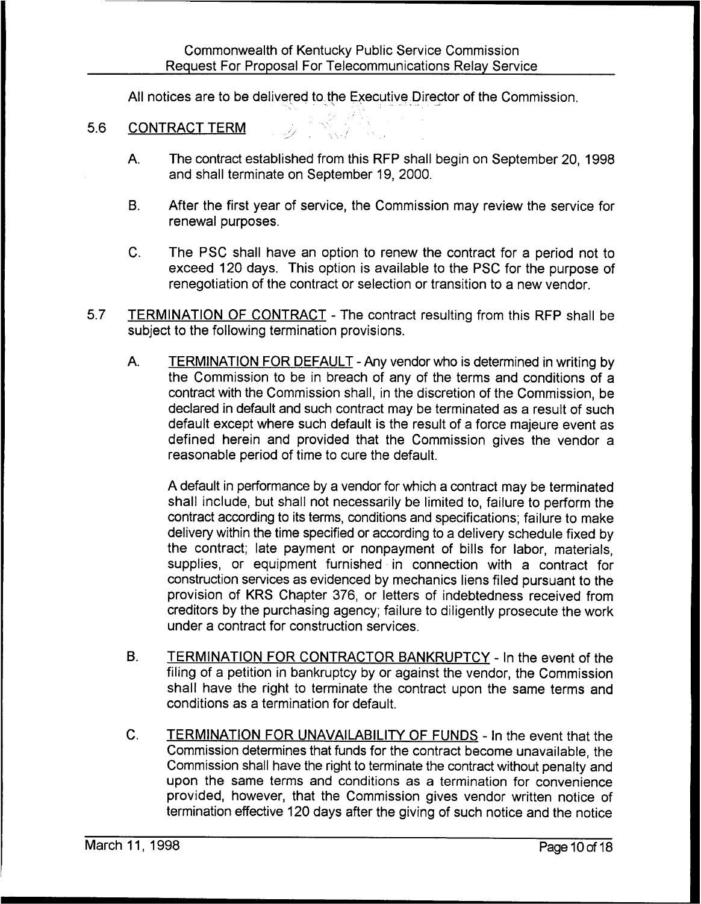All notices are to be delivered to the Executive. Director of the Commission.

- 5.6 CONTRACT TERM
	- A. The contract established from this RFP shall begin on September 20, 1998 and shall terminate on September 19, 2000.
	- B. After the first year of service, the Commission may review the service for renewal purposes.
	- C. The PSC shall have an option to renew the contract for a period not to exceed 120 days. This option is available to the PSC for the purpose of renegotiation of the contract or selection or transition to a new vendor.
- 5.7 **TERMINATION OF CONTRACT** The contract resulting from this RFP shall be subject to the following termination provisions.
	- A. TERMINATION FOR DEFAULT Any vendor who is determined in writing by the Commission to be in breach of any of the terms and conditions of a contract with the Commission shall, in the discretion of the Commission, be declared in default and such contract may be terminated as a result of such default except where such default is the result of a force majeure event as defined herein and provided that the Commission gives the vendor a reasonable period of time to cure the default.

A default in performance by a vendor for which a contract may be terminated shall include, but shall not necessarily be limited to, failure to perform the contract according to its terms, conditions and specifications; failure to make delivery within the time specified or according to a delivery schedule fixed by the contract; late payment or nonpayment of bills for labor, materials, supplies, or equipment furnished in connection with a contract for construction services as evidenced by mechanics liens filed pursuant to the provision of KRS Chapter 3?6, or letters of indebtedness received from creditors by the purchasing agency; failure to diligently prosecute the work under a contract for construction services.

- B. TERMINATION FOR CONTRACTOR BANKRUPTCY In the event of the filing of a petition in bankruptcy by or against the vendor, the Commission shall have the right to terminate the contract upon the same terms and conditions as a termination for default.
- C. TERMINATION FOR UNAVAILABILITY OF FUNDS In the event that the Commission determines that funds for the contract become unavailable, the Commission shall have the right to terminate the contract without penalty and upon the same terms and conditions as a termination for convenience provided, however, that the Commission gives vendor written notice of termination effective 120 days after the giving of such notice and the notice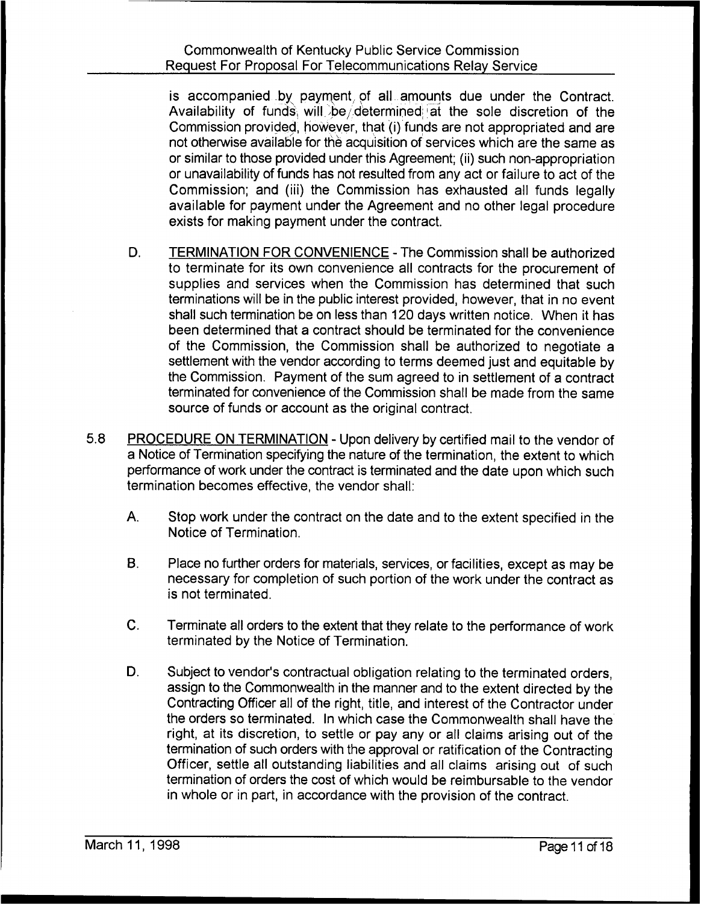is accompanied. by payment, of all amounts due under the Contract. Availability of funds, will be determined at the sole discretion of the Commission provided, how'ever, that (i) funds are not appropriated and are not otherwise available for the acquisition of services which are the same as or similar to those provided under this Agreement; (ii) such non-appropriation or unavailability of funds has not resulted from any act or failure to act of the Commission; and (iii) the Commission has exhausted all funds legally available for payment under the Agreement and no other legal procedure exists for making payment under the contract.

- D. TERMINATION FOR CONVENIENCE The Commission shall be authorized to terminate for its own convenience all contracts for the procurement of supplies and services when the Commission has determined that such terminations wilt be in the public interest provided, however, that in no event shall such termination be on less than 120 days written notice. When it has been determined that a contract should be terminated for the convenience of the Commission, the Commission shall be authorized to negotiate a settlement with the vendor according to terms deemed just and equitable by the Commission. Payment of the sum agreed to in settlement of a contract terminated for convenience of the Commission shall be made from the same source of funds or account as the original contract.
- 5.8 PROCEDURE ON TERMINATION Upon delivery by certified mail to the vendor of a Notice of Termination specifying the nature of the termination, the extent to which performance of work under the contract is terminated and the date upon which such termination becomes effective, the vendor shall:
	- A. Stop work under the contract on the date and to the extent specified in the Notice of Termination.
	- B. Place no further orders for materials, services, or facilities, except as may be necessary for completion of such portion of the work under the contract as is not terminated.
	- C. Terminate all orders to the extent that they relate to the performance of work terminated by the Notice of Termination.
	- D. Subject to vendor's contractual obligation relating to the terminated orders, assign to the Commonwealth in the manner and to the extent directed by the Contracting Officer all of the right, title, and interest of the Contractor under the orders so terminated. In which case the Commonwealth shall have the right, at its discretion, to settle or pay any or all claims arising out of the termination of such orders with the approval or ratification of the Contracting Officer, settle all outstanding liabilities and all claims arising out of such termination of orders the cost of which would be reimbursable to the vendor in whole or in part, in accordance with the provision of the contract.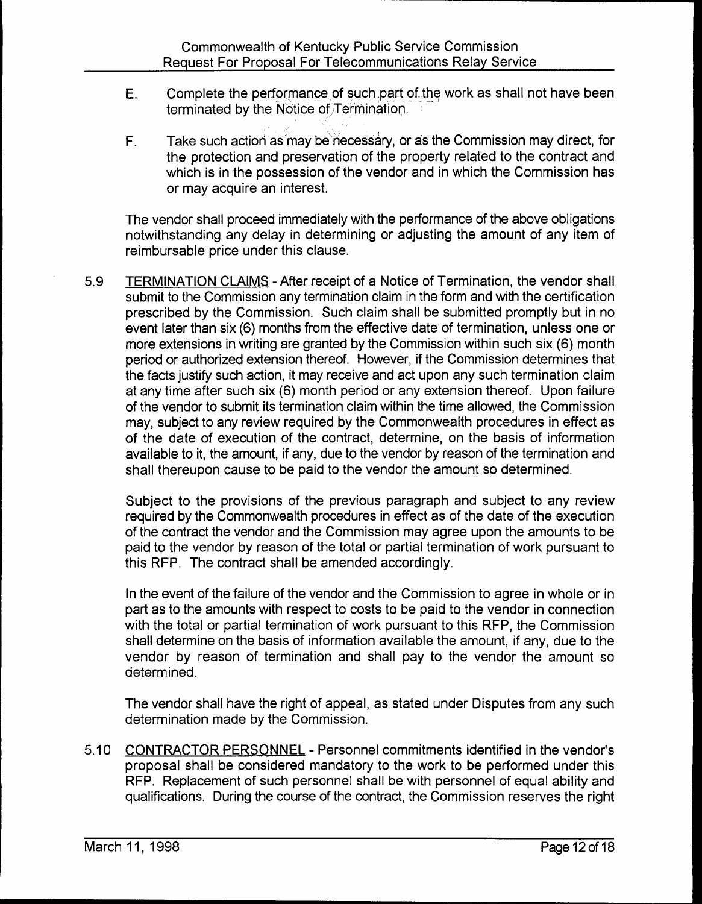J

- $E_{\cdot}$ Complete the performance of such part of the work as shall not have been terminated by the Notice of Termination.
- F. Take such action as may be necessary, or as the Commission may direct, for the protection and preservation of the property related to the contract and which is in the possession of the vendor and in which the Commission has or may acquire an interest.

The vendor shall proceed immediately with the performance of the above obligations notwithstanding any delay in determining or adjusting the amount of any item of reimbursable price under this clause.

5.9 TERMINATION CLAIMS - After receipt of a Notice of Termination, the vendor shall submit to the Commission any termination claim in the form and with the certification prescribed by the Commission. Such claim shall be submitted promptly but in no event later than six (6) months from the effective date of termination, unless one or more extensions in writing are granted by the Commission within such six (6) month period or authorized extension thereof. However, if the Commission determines that the facts justify such action, it may receive and act upon any such termination claim at any time after such six (6) month period or any extension thereof. Upon failure of the vendor to submit its termination claim within the time allowed, the Commission may, subject to any review required by the Commonwealth procedures in effect as of the date of execution of the contract, determine, on the basis of information available to it, the amount, if any, due to the vendor by reason of the termination and shall thereupon cause to be paid to the vendor the amount so determined.

Subject to the provisions of the previous paragraph and subject to any review required by the Commonwealth procedures in effect as of the date of the execution of the contract the vendor and the Commission may agree upon the amounts to be paid to the vendor by reason of the total or partial termination of work pursuant to this RFP. The contract shall be amended accordingly.

In the event of the failure of the vendor and the Commission to agree in whole or in part as to the amounts with respect to costs to be paid to the vendor in connection with the total or partial termination of work pursuant to this RFP, the Commission shall determine on the basis of information available the amount, if any, due to the vendor by reason of termination and shall pay to the vendor the amount so determined.

The vendor shall have the right of appeal, as stated under Disputes from any such determination made by the Commission.

5.10 CONTRACTOR PERSONNEL - Personnel commitments identified in the vendor's proposal shall be considered mandatory to the work to be performed under this RFP. Replacement of such personnel shall be with personnel of equal ability and qualifications. During the course of the contract, the Commission reserves the right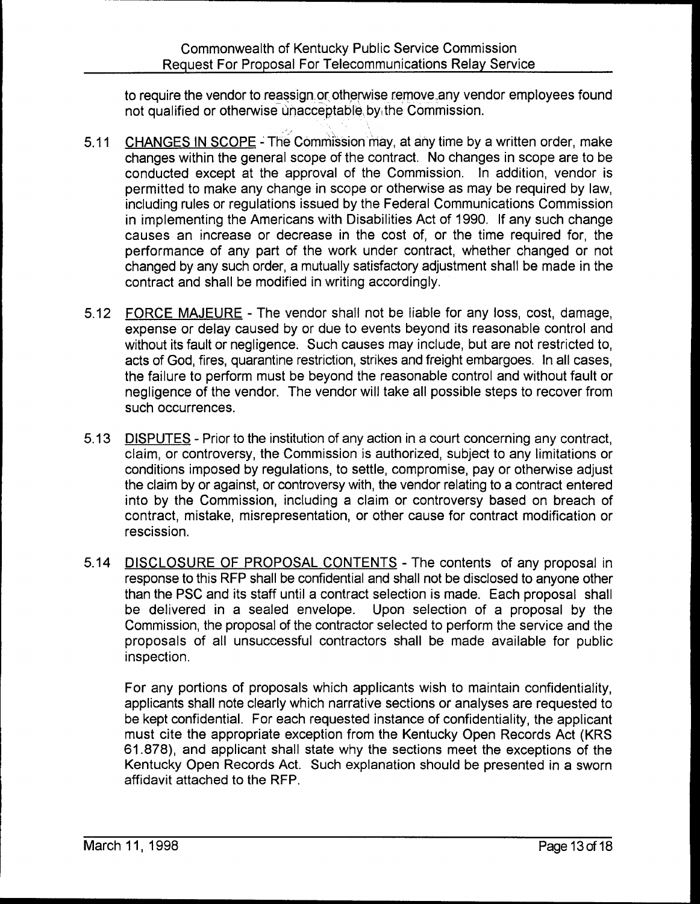to require the vendor to reassign. or otherwise remove, any vendor employees found not qualified or otherwise unacceptable, by the Commission.

- 5.11 CHANGES IN SCOPE The Commission may, at any time by a written order, make changes within the general scope of the contract. No changes in scope are to be conducted except at the approval of the Commission. In addition, vendor is permitted to make any change in scope or otherwise as may be required by law, including rules or regulations issued by the Federal Communications Commission in implementing the Americans with Disabilities Act of 1990. If any such change causes an increase or decrease in the cost of, or the time required for, the performance of any part of the work under contract, whether changed or not changed by any such order, a mutually satisfactory adjustment shall be made in the contract and shall be modified in writing accordingly.
- 5.12 FORCE MAJEURE The vendor shall not be liable for any loss, cost, damage, expense or delay caused by or due to events beyond its reasonable control and without its fault or negligence. Such causes may include, but are not restricted to, acts of God, fires, quarantine restriction, strikes and freight embargoes. In all cases, the failure to perform must be beyond the reasonable control and without fault or negligence of the vendor. The vendor will take all possible steps to recover from such occurrences.
- 5.13 DISPUTES Prior to the institution of any action in a court concerning any contract, claim, or controversy, the Commission is authorized, subject to any limitations or conditions imposed by regulations, to settle, compromise, pay or otherwise adjust the claim by or against, or controversy with, the vendor relating to a contract entered into by the Commission, including a claim or controversy based on breach of contract, mistake, misrepresentation, or other cause for contract modification or rescission.
- 5.14 DISCLOSURE OF PROPOSAL CONTENTS The contents of any proposal in response to this RFP shall be confidential and shall not be disclosed to anyone other than the PSC and its staff until a contract selection is made. Each proposal shall be delivered in a sealed envelope. Upon selection of a proposal by the Commission, the proposal of the contractor selected to perform the service and the proposals of all unsuccessful contractors shall be made available for public inspection.

For any portions of proposals which applicants wish to maintain confidentiality, applicants shall note clearly which narrative sections or analyses are requested to be kept confidential. For each requested instance of confidentiality, the applicant must cite the appropriate exception from the Kentucky Open Records Act (KRS 61.878), and applicant shall state why the sections meet the exceptions of the Kentucky Open Records Act. Such explanation should be presented in a sworn affidavit attached to the RFP.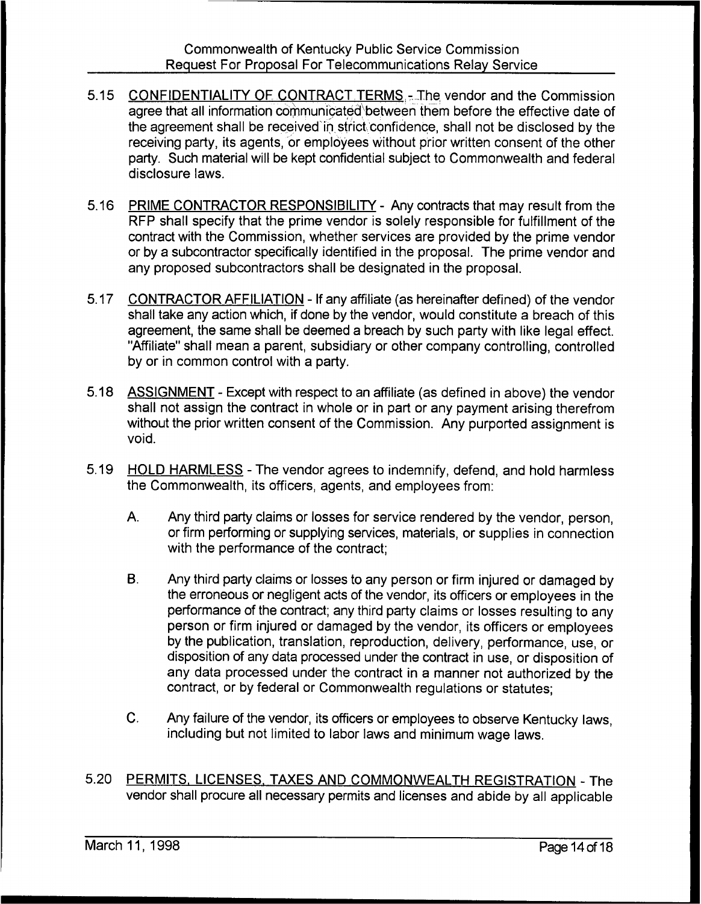- 5.15 CONFIDENTIALITY OF CONTRACT TERMS.- The vendor and the Commission agree that all information communicated between them before the effective date of the agreement shall be received in strict 'confidence, shall not be disclosed by the receiving party, its agents, or employees without prior written consent of the other party. Such material will be kept confidential subject to Commonwealth and federal disclosure laws.
- 5.16 PRIME CONTRACTOR RESPONSIBILITY Any contracts that may result from the RFP shall specify that the prime vendor is solely responsible for fulfillment of the contract with the Commission, whether services are provided by the prime vendor or by a subcontractor specifically identified in the proposal. The prime vendor and any proposed subcontractors shall be designated in the proposal.
- 5.17 CONTRACTOR AFFILIATION If any affiliate (as hereinafter defined) of the vendor shall take any action which, if done by the vendor, would constitute a breach of this agreement, the same shall be deemed a breach by such party with like legal effect. "Affiliate" shall mean a parent, subsidiary or other company controlling, controlled by or in common control with a party.
- 5.18 ASSIGNMENT Except with respect to an affiliate (as defined in above) the vendor shall not assign the contract in whole or in part or any payment arising therefrom without the prior written consent of the Commission. Any purported assignment is void.
- 5.19 HOLD HARMLESS The vendor agrees to indemnify, defend, and hold harmless the Commonwealth, its officers, agents, and employees from:
	- A. Any third party claims or losses for service rendered by the vendor, person, or firm performing or supplying services, materials, or supplies in connection with the performance of the contract;
	- $B<sub>1</sub>$ Any third party claims or losses to any person or firm injured or damaged by the erroneous or negligent acts of the vendor, its officers or employees in the performance of the contract; any third party claims or losses resulting to any person or firm injured or damaged by the vendor, its officers or employees by the publication, translation, reproduction, delivery, performance, use, or disposition of any data processed under the contract in use, or disposition of any data processed under the contract in a manner not authorized by the contract, or by federal or Commonwealth regulations or statutes;
	- C. Any failure of the vendor, its officers or employees to observe Kentucky laws, including but not limited to labor laws and minimum wage laws.
- 5.20 PERMITS. LICENSES. TAXES AND COMMONWEALTH REGISTRATION The vendor shall procure all necessary permits and licenses and abide by all applicable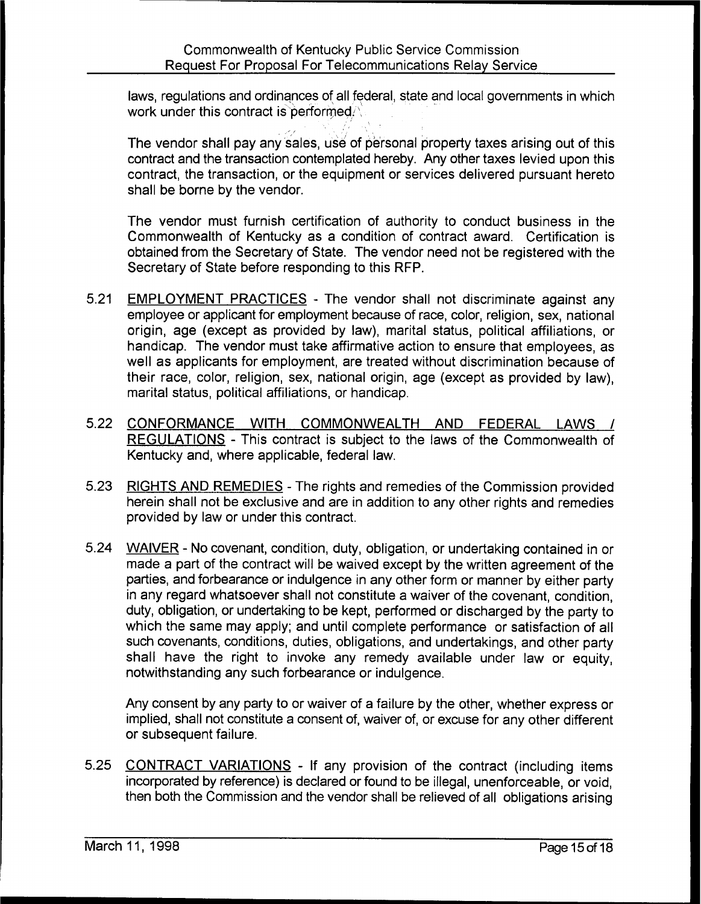laws, regulations and ordinances of all federal, state and local governments in which work under this contract is performed.

vendor shall pay any sales, use of personal property taxes arising out of this contract and the transaction contemplated hereby. Any other taxes levied upon this contract, the transaction, or the equipment or services delivered pursuant hereto shall be borne by the vendor.

The vendor must furnish certification of authority to conduct business in the Commonwealth of Kentucky as a condition of contract award. Certification is obtained from the Secretary of State. The vendor need not be registered with the Secretary of State before responding to this RFP.

- 5.21 EMPLOYMENT PRACTICES The vendor shall not discriminate against any employee or applicant for employment because of race, color, religion, sex, national origin, age (except as provided by law), marital status, political affiliations, or handicap. The vendor must take affirmative action to ensure that employees, as well as applicants for employment, are treated without discrimination because of their race, color, religion, sex, national origin, age (except as provided by law), marital status, political affiliations, or handicap.
- 5.22 CONFORMANCE WITH COMMONWEALTH AND FEDERAL LAWS / REGULATIONS - This contract is subject to the laws of the Commonwealth of Kentucky and, where applicable, federal law
- 5.23 RIGHTS AND REMEDIES The rights and remedies of the Commission provided herein shall not be exclusive and are in addition to any other rights and remedies provided by law or under this contract.
- 5.24 WAIVER No covenant, condition, duty, obligation, or undertaking contained in or made a part of the contract will be waived except by the written agreement of the parties, and forbearance or indulgence in any other form or manner by either party in any regard whatsoever shall not constitute a waiver of the covenant, condition, duty, obligation, or undertaking to be kept, performed or discharged by the party to which the same may apply; and until complete performance or satisfaction of all such covenants, conditions, duties, obligations, and undertakings, and other party shall have the right to invoke any remedy available under law or equity, notwithstanding any such forbearance or indulgence.

Any consent by any party to or waiver of a failure by the other, whether express or implied, shall not constitute a consent of, waiver of, or excuse for any other different or subsequent failure.

5.25 CONTRACT VARIATIONS - If any provision of the contract (including items incorporated by reference) is declared or found to be illegal, unenforceable, or void, then both the Commission and the vendor shall be relieved of all obligations arising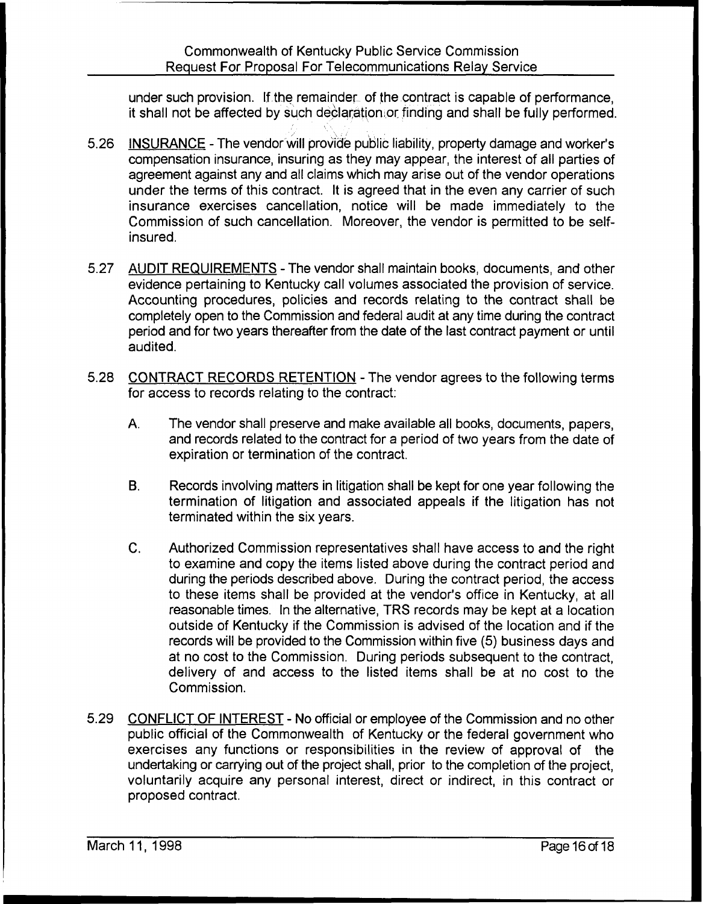under such provision. If the remainder of the contract is capable of performance, it shall not be affected by such declaration or finding and shall be fully performed.

- 5.26 INSURANCE The vendor will prov'ide public liability, property damage and worker's compensation insurance, insuring as they may appear, the interest of all parties of agreement against any and all claims which may arise out of the vendor operations under the terms of this contract. It is agreed that in the even any carrier of such insurance exercises cancellation, notice will be made immediately to the Commission of such cancellation. Moreover, the vendor is permitted to be selfinsured.
- 5.27 AUDIT REQUIREMENTS The vendor shall maintain books, documents, and other evidence pertaining to Kentucky call volumes associated the provision of service. Accounting procedures, policies and records relating to the contract shall be completely open to the Commission and federal audit at any time during the contract period and for two years thereafter from the date of the last contract payment or until audited.
- 5.28 CONTRACT RECORDS RETENTION The vendor agrees to the following terms for access to records relating to the contract:
	- A. The vendor shall preserve and make available all books, documents, papers, and records related to the contract for a period of two years from the date of expiration or termination of the contract.
	- B. Records involving matters in litigation shall be kept for one year following the termination of litigation and associated appeals if the litigation has not terminated within the six years.
	- $C_{\cdot}$ Authorized Commission representatives shall have access to and the right to examine and copy the items listed above during the contract period and during the periods described above. During the contract period, the access to these items shall be provided at the vendor's office in Kentucky, at all reasonable times. In the alternative, TRS records may be kept at a location outside of Kentucky if the Commission is advised of the location and if the records will be provided to the Commission within five (5) business days and at no cost to the Commission. During periods subsequent to the contract, delivery of and access to the listed items shall be at no cost to the Commission.
- 5.29 CONFLICT OF INTEREST No official or employee of the Commission and no other public official of the Commonwealth of Kentucky or the federal government who exercises any functions or responsibilities in the review of approval of the undertaking or carrying out of the project shall, prior to the completion of the project, voluntarily acquire any personal interest, direct or indirect, in this contract or proposed contract.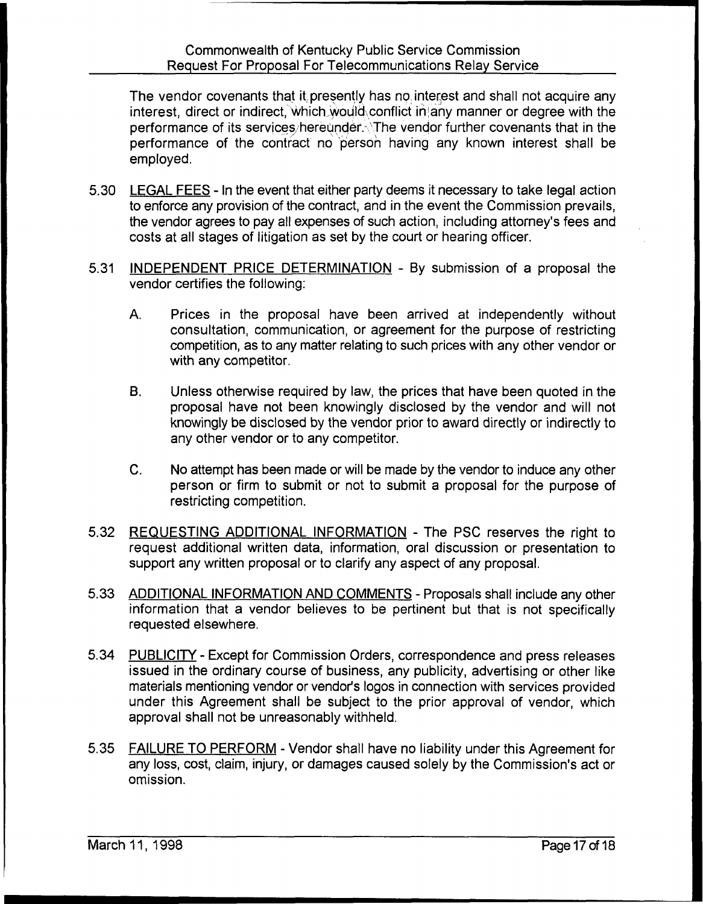The vendor covenants that it, presently has no. interest and shall not acquire any interest, direct or indirect, which would conflict in any manner or degree with the performance of its services hereunder. The vendor further covenants that in the performance of the contract no person having any known interest shall be employed.

- 5.30 LEGAL FEES In the event that either party deems it necessary to take legal action to enforce any provision of the contract, and in the event the Commission prevails, the vendor agrees to pay all expenses of such action, including attorney's fees and costs at all stages of litigation as set by the court or hearing officer.
- 5.31 INDEPENDENT PRICE DETERMINATION By submission of a proposal the vendor certifies the following:
	- $A_{n}$ Prices in the proposal have been arrived at independently without consultation, communication, or agreement for the purpose of restricting competition, as to any matter relating to such prices with any other vendor or with any competitor.
	- B. Unless otherwise required by law, the prices that have been quoted in the proposal have not been knowingly disclosed by the vendor and will not knowingly be disclosed by the vendor prior to award directly or indirectly to any other vendor or to any competitor.
	- C. No attempt has been made or will be made by the vendor to induce any other person or firm to submit or not to submit a proposal for the purpose of restricting competition.
- 5.32 REQUESTING ADDITIONAL INFORMATION The PSC reserves the right to request additional written data, information, oral discussion or presentation to support any written proposal or to clarify any aspect of any proposal.
- 5.33 ADDITIONAL INFORMATION AND COMMENTS Proposals shall include any other information that a vendor believes to be pertinent but that is not specifically requested elsewhere.
- 5.34 PUBLICITY- Except for Commission Orders, correspondence and press releases issued in the ordinary course of business, any publicity, advertising or other like materials mentioning vendor or vendor's logos in connection with services provided under this Agreement shall be subject to the prior approval of vendor, which approval shall not be unreasonably withheld.
- 5.35 FAILURE TO PERFORM Vendor shall have no liability under this Agreement for any loss, cost, claim, injury, or damages caused solely by the Commission's act or omission.